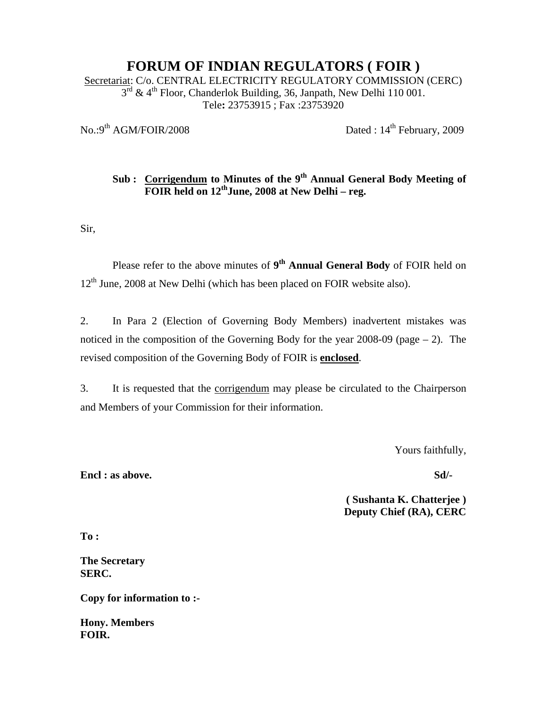## **FORUM OF INDIAN REGULATORS ( FOIR )**

Secretariat: C/o. CENTRAL ELECTRICITY REGULATORY COMMISSION (CERC)  $3<sup>rd</sup>$  & 4<sup>th</sup> Floor, Chanderlok Building, 36, Janpath, New Delhi 110 001. Tele**:** 23753915 ; Fax :23753920

 $\text{No.}:9^{\text{th}}$  AGM/FOIR/2008 Dated :  $14^{\text{th}}$  February, 2009

## Sub : Corrigendum to Minutes of the 9<sup>th</sup> Annual General Body Meeting of **FOIR held on 12<sup>th</sup>June, 2008 at New Delhi – reg.**

Sir,

Please refer to the above minutes of 9<sup>th</sup> Annual General Body of FOIR held on 12<sup>th</sup> June, 2008 at New Delhi (which has been placed on FOIR website also).

2. In Para 2 (Election of Governing Body Members) inadvertent mistakes was noticed in the composition of the Governing Body for the year  $2008-09$  (page  $-2$ ). The revised composition of the Governing Body of FOIR is **enclosed**.

3. It is requested that the corrigendum may please be circulated to the Chairperson and Members of your Commission for their information.

Yours faithfully,

**Encl : as above.** Sd/-

**( Sushanta K. Chatterjee ) Deputy Chief (RA), CERC** 

**To :** 

**The Secretary SERC.** 

**Copy for information to :-** 

**Hony. Members FOIR.**